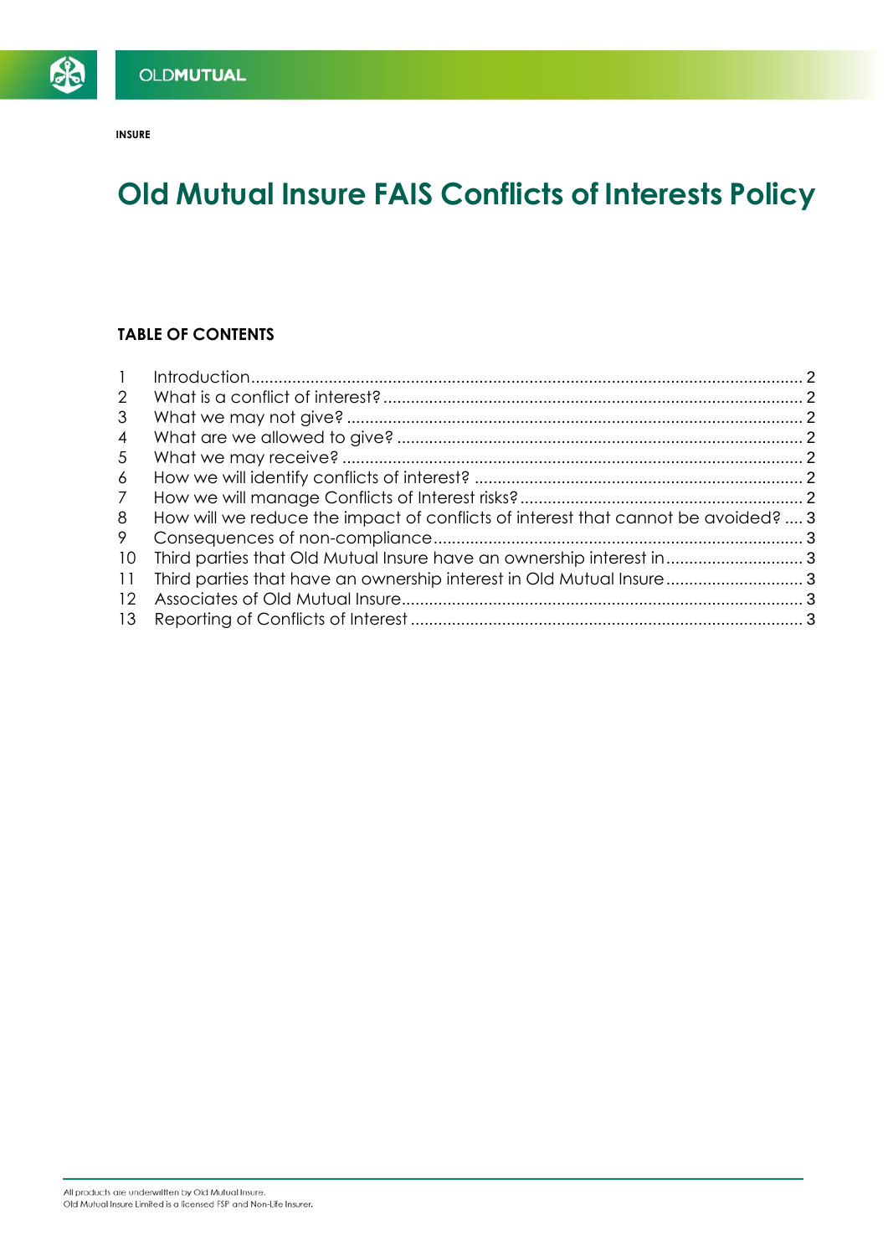**INSURE**

SB

# **Old Mutual Insure FAIS Conflicts of Interests Policy**

# **TABLE OF CONTENTS**

| How will we reduce the impact of conflicts of interest that cannot be avoided?  3 |  |
|-----------------------------------------------------------------------------------|--|
|                                                                                   |  |
|                                                                                   |  |
| Third parties that have an ownership interest in Old Mutual Insure 3              |  |
|                                                                                   |  |
|                                                                                   |  |
|                                                                                   |  |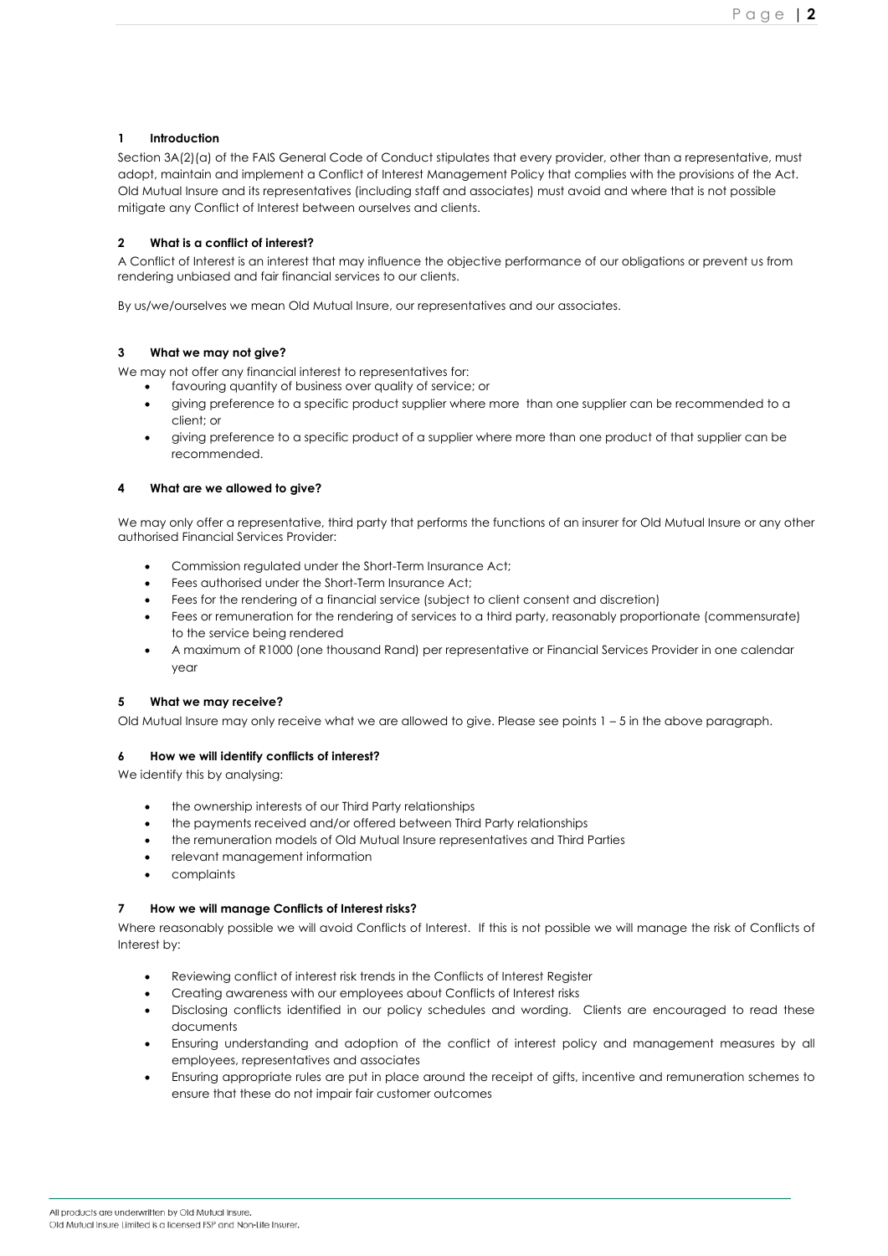# <span id="page-1-0"></span>**1 Introduction**

Section 3A(2)(a) of the FAIS General Code of Conduct stipulates that every provider, other than a representative, must adopt, maintain and implement a Conflict of Interest Management Policy that complies with the provisions of the Act. Old Mutual Insure and its representatives (including staff and associates) must avoid and where that is not possible mitigate any Conflict of Interest between ourselves and clients.

# <span id="page-1-1"></span>**2 What is a conflict of interest?**

A Conflict of Interest is an interest that may influence the objective performance of our obligations or prevent us from rendering unbiased and fair financial services to our clients.

By us/we/ourselves we mean Old Mutual Insure, our representatives and our associates.

# <span id="page-1-2"></span>**3 What we may not give?**

We may not offer any financial interest to representatives for:

- favouring quantity of business over quality of service; or
- giving preference to a specific product supplier where more than one supplier can be recommended to a client; or
- giving preference to a specific product of a supplier where more than one product of that supplier can be recommended.

# <span id="page-1-3"></span>**4 What are we allowed to give?**

We may only offer a representative, third party that performs the functions of an insurer for Old Mutual Insure or any other authorised Financial Services Provider:

- Commission regulated under the Short-Term Insurance Act;
- Fees authorised under the Short-Term Insurance Act;
- Fees for the rendering of a financial service (subject to client consent and discretion)
- Fees or remuneration for the rendering of services to a third party, reasonably proportionate (commensurate) to the service being rendered
- A maximum of R1000 (one thousand Rand) per representative or Financial Services Provider in one calendar year

# <span id="page-1-4"></span>**5 What we may receive?**

Old Mutual Insure may only receive what we are allowed to give. Please see points 1 – 5 in the above paragraph.

#### <span id="page-1-5"></span>**6 How we will identify conflicts of interest?**

We identify this by analysing:

- the ownership interests of our Third Party relationships
- the payments received and/or offered between Third Party relationships
- the remuneration models of Old Mutual Insure representatives and Third Parties
- relevant management information
- complaints

# <span id="page-1-6"></span>**7 How we will manage Conflicts of Interest risks?**

Where reasonably possible we will avoid Conflicts of Interest. If this is not possible we will manage the risk of Conflicts of Interest by:

- Reviewing conflict of interest risk trends in the Conflicts of Interest Register
- Creating awareness with our employees about Conflicts of Interest risks
- Disclosing conflicts identified in our policy schedules and wording. Clients are encouraged to read these documents
- Ensuring understanding and adoption of the conflict of interest policy and management measures by all employees, representatives and associates
- Ensuring appropriate rules are put in place around the receipt of gifts, incentive and remuneration schemes to ensure that these do not impair fair customer outcomes